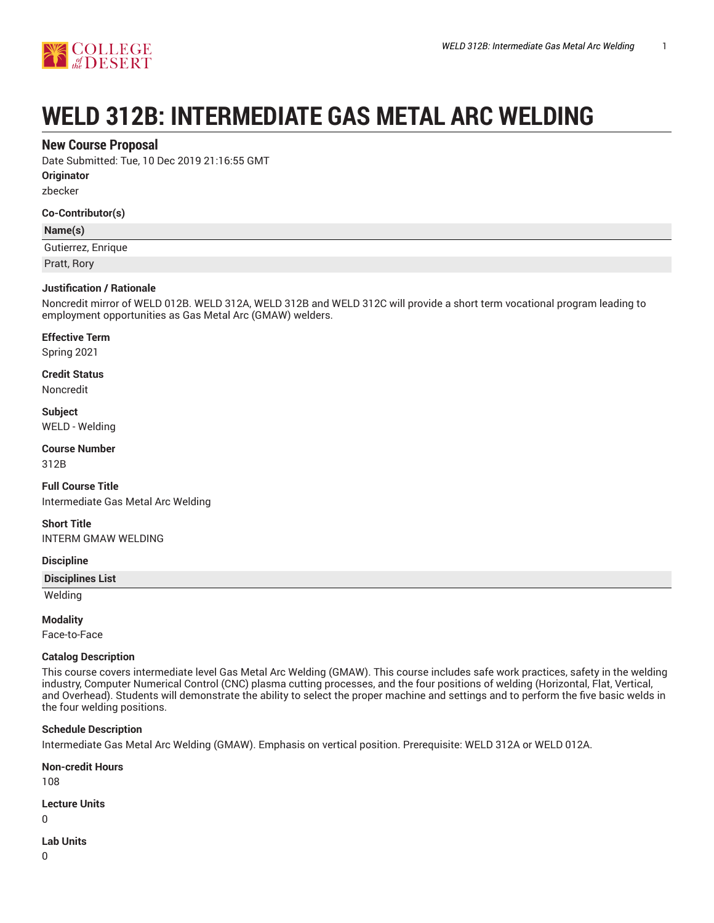

# **WELD 312B: INTERMEDIATE GAS METAL ARC WELDING**

# **New Course Proposal**

Date Submitted: Tue, 10 Dec 2019 21:16:55 GMT

**Originator**

zbecker

## **Co-Contributor(s)**

## **Name(s)**

Gutierrez, Enrique

Pratt, Rory

## **Justification / Rationale**

Noncredit mirror of WELD 012B. WELD 312A, WELD 312B and WELD 312C will provide a short term vocational program leading to employment opportunities as Gas Metal Arc (GMAW) welders.

## **Effective Term**

Spring 2021

**Credit Status**

Noncredit

**Subject** WELD - Welding

**Course Number** 312B

**Full Course Title** Intermediate Gas Metal Arc Welding

**Short Title** INTERM GMAW WELDING

## **Discipline**

**Disciplines List**

Welding

## **Modality**

Face-to-Face

## **Catalog Description**

This course covers intermediate level Gas Metal Arc Welding (GMAW). This course includes safe work practices, safety in the welding industry, Computer Numerical Control (CNC) plasma cutting processes, and the four positions of welding (Horizontal, Flat, Vertical, and Overhead). Students will demonstrate the ability to select the proper machine and settings and to perform the five basic welds in the four welding positions.

## **Schedule Description**

Intermediate Gas Metal Arc Welding (GMAW). Emphasis on vertical position. Prerequisite: WELD 312A or WELD 012A.

## **Non-credit Hours**

108

## **Lecture Units**

 $\Omega$ 

# **Lab Units**

 $\Omega$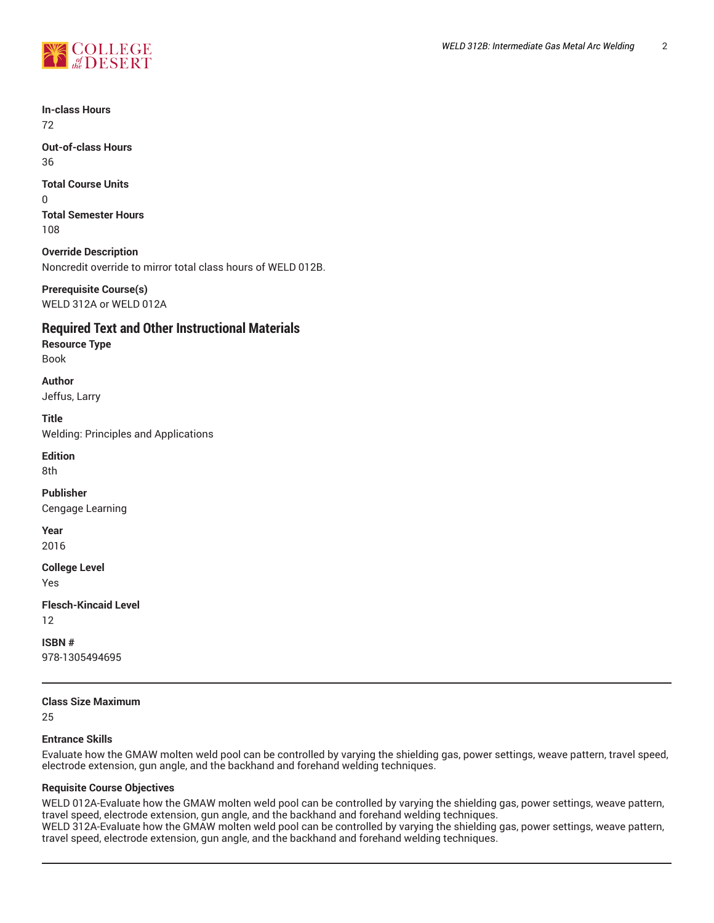

**In-class Hours** 72

**Out-of-class Hours** 36

**Total Course Units** 0 **Total Semester Hours** 108

**Override Description** Noncredit override to mirror total class hours of WELD 012B.

**Prerequisite Course(s)** WELD 312A or WELD 012A

# **Required Text and Other Instructional Materials**

**Resource Type** Book

**Author** Jeffus, Larry

**Title**

Welding: Principles and Applications

**Edition** 8th

**Publisher** Cengage Learning

**Year**

2016

**College Level**

Yes

**Flesch-Kincaid Level**

12

**ISBN #** 978-1305494695

## **Class Size Maximum**

25

## **Entrance Skills**

Evaluate how the GMAW molten weld pool can be controlled by varying the shielding gas, power settings, weave pattern, travel speed, electrode extension, gun angle, and the backhand and forehand welding techniques.

## **Requisite Course Objectives**

WELD 012A-Evaluate how the GMAW molten weld pool can be controlled by varying the shielding gas, power settings, weave pattern, travel speed, electrode extension, gun angle, and the backhand and forehand welding techniques. WELD 312A-Evaluate how the GMAW molten weld pool can be controlled by varying the shielding gas, power settings, weave pattern, travel speed, electrode extension, gun angle, and the backhand and forehand welding techniques.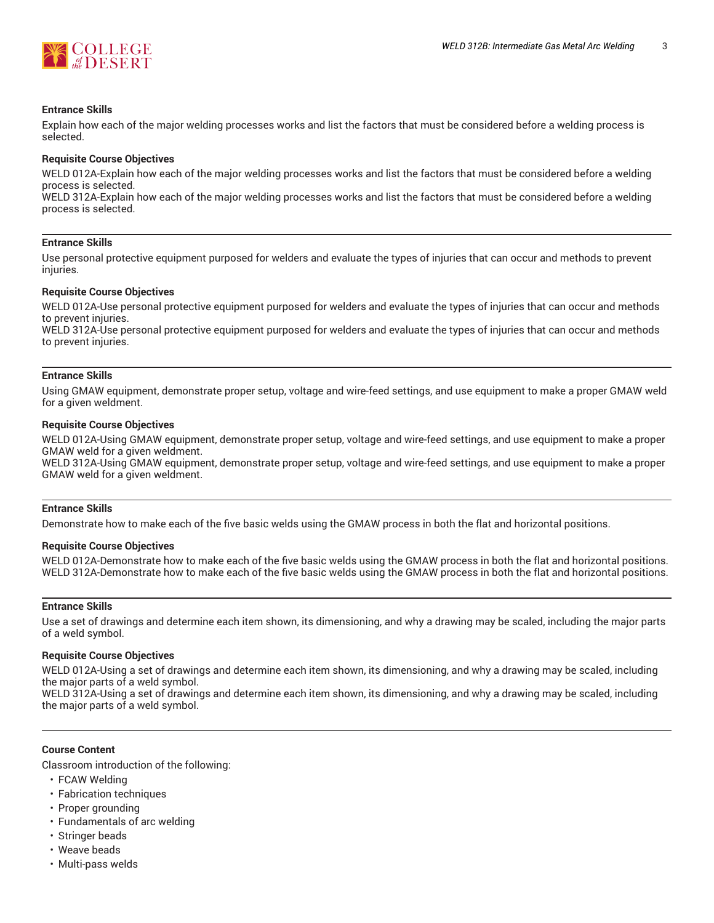

#### **Entrance Skills**

Explain how each of the major welding processes works and list the factors that must be considered before a welding process is selected.

#### **Requisite Course Objectives**

WELD 012A-Explain how each of the major welding processes works and list the factors that must be considered before a welding process is selected.

WELD 312A-Explain how each of the major welding processes works and list the factors that must be considered before a welding process is selected.

#### **Entrance Skills**

Use personal protective equipment purposed for welders and evaluate the types of injuries that can occur and methods to prevent injuries.

#### **Requisite Course Objectives**

WELD 012A-Use personal protective equipment purposed for welders and evaluate the types of injuries that can occur and methods to prevent injuries.

WELD 312A-Use personal protective equipment purposed for welders and evaluate the types of injuries that can occur and methods to prevent injuries.

#### **Entrance Skills**

Using GMAW equipment, demonstrate proper setup, voltage and wire-feed settings, and use equipment to make a proper GMAW weld for a given weldment.

#### **Requisite Course Objectives**

WELD 012A-Using GMAW equipment, demonstrate proper setup, voltage and wire-feed settings, and use equipment to make a proper GMAW weld for a given weldment.

WELD 312A-Using GMAW equipment, demonstrate proper setup, voltage and wire-feed settings, and use equipment to make a proper GMAW weld for a given weldment.

#### **Entrance Skills**

Demonstrate how to make each of the five basic welds using the GMAW process in both the flat and horizontal positions.

#### **Requisite Course Objectives**

WELD 012A-Demonstrate how to make each of the five basic welds using the GMAW process in both the flat and horizontal positions. WELD 312A-Demonstrate how to make each of the five basic welds using the GMAW process in both the flat and horizontal positions.

#### **Entrance Skills**

Use a set of drawings and determine each item shown, its dimensioning, and why a drawing may be scaled, including the major parts of a weld symbol.

#### **Requisite Course Objectives**

WELD 012A-Using a set of drawings and determine each item shown, its dimensioning, and why a drawing may be scaled, including the major parts of a weld symbol.

WELD 312A-Using a set of drawings and determine each item shown, its dimensioning, and why a drawing may be scaled, including the major parts of a weld symbol.

#### **Course Content**

Classroom introduction of the following:

- FCAW Welding
- Fabrication techniques
- Proper grounding
- Fundamentals of arc welding
- Stringer beads
- Weave beads
- Multi-pass welds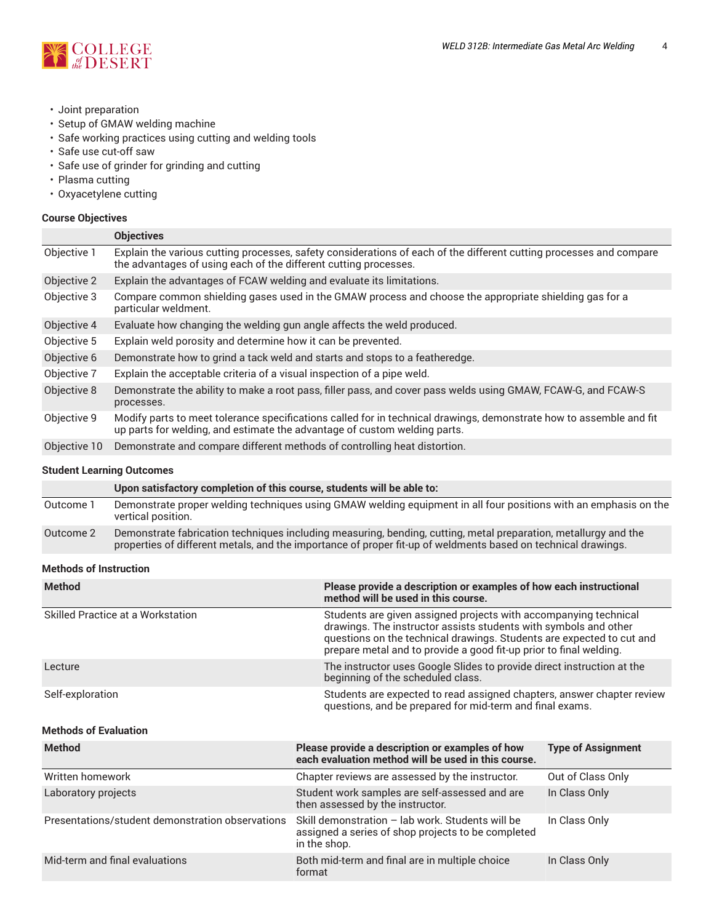

- Joint preparation
- Setup of GMAW welding machine
- Safe working practices using cutting and welding tools
- Safe use cut-off saw
- Safe use of grinder for grinding and cutting
- Plasma cutting
- Oxyacetylene cutting

## **Course Objectives**

|              | <b>Objectives</b>                                                                                                                                                                                |  |
|--------------|--------------------------------------------------------------------------------------------------------------------------------------------------------------------------------------------------|--|
| Objective 1  | Explain the various cutting processes, safety considerations of each of the different cutting processes and compare<br>the advantages of using each of the different cutting processes.          |  |
| Objective 2  | Explain the advantages of FCAW welding and evaluate its limitations.                                                                                                                             |  |
| Objective 3  | Compare common shielding gases used in the GMAW process and choose the appropriate shielding gas for a<br>particular weldment.                                                                   |  |
| Objective 4  | Evaluate how changing the welding gun angle affects the weld produced.                                                                                                                           |  |
| Objective 5  | Explain weld porosity and determine how it can be prevented.                                                                                                                                     |  |
| Objective 6  | Demonstrate how to grind a tack weld and starts and stops to a featheredge.                                                                                                                      |  |
| Objective 7  | Explain the acceptable criteria of a visual inspection of a pipe weld.                                                                                                                           |  |
| Objective 8  | Demonstrate the ability to make a root pass, filler pass, and cover pass welds using GMAW, FCAW-G, and FCAW-S<br>processes.                                                                      |  |
| Objective 9  | Modify parts to meet tolerance specifications called for in technical drawings, demonstrate how to assemble and fit<br>up parts for welding, and estimate the advantage of custom welding parts. |  |
| Objective 10 | Demonstrate and compare different methods of controlling heat distortion.                                                                                                                        |  |
|              |                                                                                                                                                                                                  |  |

#### **Student Learning Outcomes**

**Upon satisfactory completion of this course, students will be able to:**

| Outcome 1 | Demonstrate proper welding techniques using GMAW welding equipment in all four positions with an emphasis on the<br>vertical position.                                                                                                       |
|-----------|----------------------------------------------------------------------------------------------------------------------------------------------------------------------------------------------------------------------------------------------|
|           | $\Lambda$ and $\Lambda$ . $\Lambda$ are contributed by the contribution of the distribution of the contribution of the contribution of the contribution of the contribution of the contribution of the contribution of the contribution of t |

Outcome 2 Demonstrate fabrication techniques including measuring, bending, cutting, metal preparation, metallurgy and the properties of different metals, and the importance of proper fit-up of weldments based on technical drawings.

#### **Methods of Instruction**

| <b>Method</b>                                    | Please provide a description or examples of how each instructional<br>method will be used in this course.                                                                                                                                                                           |                           |  |  |  |
|--------------------------------------------------|-------------------------------------------------------------------------------------------------------------------------------------------------------------------------------------------------------------------------------------------------------------------------------------|---------------------------|--|--|--|
| Skilled Practice at a Workstation                | Students are given assigned projects with accompanying technical<br>drawings. The instructor assists students with symbols and other<br>questions on the technical drawings. Students are expected to cut and<br>prepare metal and to provide a good fit-up prior to final welding. |                           |  |  |  |
| Lecture                                          | The instructor uses Google Slides to provide direct instruction at the<br>beginning of the scheduled class.                                                                                                                                                                         |                           |  |  |  |
| Self-exploration                                 | Students are expected to read assigned chapters, answer chapter review<br>questions, and be prepared for mid-term and final exams.                                                                                                                                                  |                           |  |  |  |
| <b>Methods of Evaluation</b>                     |                                                                                                                                                                                                                                                                                     |                           |  |  |  |
| <b>Method</b>                                    | Please provide a description or examples of how<br>each evaluation method will be used in this course.                                                                                                                                                                              | <b>Type of Assignment</b> |  |  |  |
| Written homework                                 | Chapter reviews are assessed by the instructor.                                                                                                                                                                                                                                     | Out of Class Only         |  |  |  |
| Laboratory projects                              | Student work samples are self-assessed and are<br>then assessed by the instructor.                                                                                                                                                                                                  | In Class Only             |  |  |  |
| Presentations/student demonstration observations | Skill demonstration - lab work. Students will be<br>assigned a series of shop projects to be completed<br>in the shop.                                                                                                                                                              | In Class Only             |  |  |  |
| Mid-term and final evaluations                   | Both mid-term and final are in multiple choice<br>format                                                                                                                                                                                                                            | In Class Only             |  |  |  |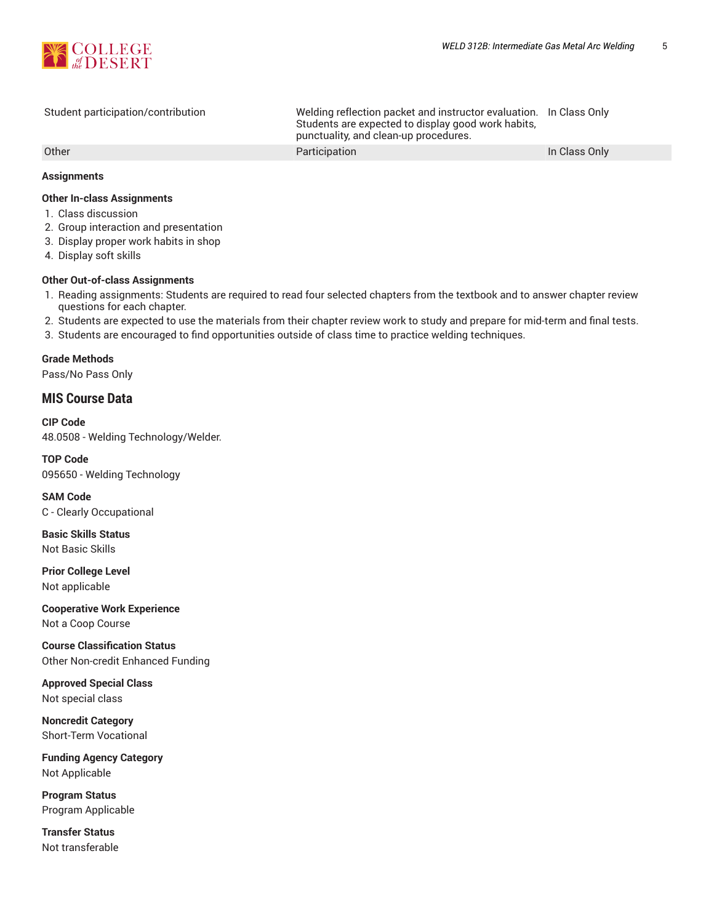

Student participation/contribution Welding reflection packet and instructor evaluation. In Class Only Students are expected to display good work habits, punctuality, and clean-up procedures. Other **Participation Participation Participation Participation In Class Only** 

## **Assignments**

## **Other In-class Assignments**

- 1. Class discussion
- 2. Group interaction and presentation
- 3. Display proper work habits in shop
- 4. Display soft skills

## **Other Out-of-class Assignments**

- 1. Reading assignments: Students are required to read four selected chapters from the textbook and to answer chapter review questions for each chapter.
- 2. Students are expected to use the materials from their chapter review work to study and prepare for mid-term and final tests.
- 3. Students are encouraged to find opportunities outside of class time to practice welding techniques.

## **Grade Methods**

Pass/No Pass Only

# **MIS Course Data**

**CIP Code** 48.0508 - Welding Technology/Welder.

**TOP Code** 095650 - Welding Technology

**SAM Code** C - Clearly Occupational

**Basic Skills Status** Not Basic Skills

**Prior College Level** Not applicable

**Cooperative Work Experience** Not a Coop Course

**Course Classification Status** Other Non-credit Enhanced Funding

**Approved Special Class** Not special class

**Noncredit Category** Short-Term Vocational

**Funding Agency Category** Not Applicable

**Program Status** Program Applicable

**Transfer Status** Not transferable